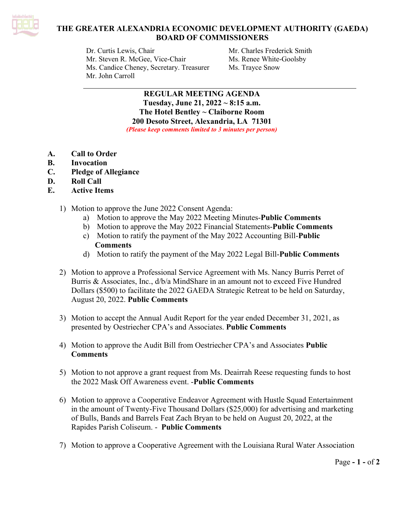

# **THE GREATER ALEXANDRIA ECONOMIC DEVELOPMENT AUTHORITY (GAEDA) BOARD OF COMMISSIONERS**

Dr. Curtis Lewis, Chair Mr. Charles Frederick Smith Mr. Steven R. McGee, Vice-Chair Ms. Renee White-Goolsby Ms. Candice Cheney, Secretary. Treasurer Ms. Trayce Snow Mr. John Carroll

**REGULAR MEETING AGENDA Tuesday, June 21, 2022 ~ 8:15 a.m. The Hotel Bentley ~ Claiborne Room 200 Desoto Street, Alexandria, LA 71301** *(Please keep comments limited to 3 minutes per person)*

- **A. Call to Order**
- **B. Invocation**
- **C. Pledge of Allegiance**
- **D. Roll Call**
- **E. Active Items**
	- 1) Motion to approve the June 2022 Consent Agenda:
		- a) Motion to approve the May 2022 Meeting Minutes-**Public Comments**
		- b) Motion to approve the May 2022 Financial Statements-**Public Comments**
		- c) Motion to ratify the payment of the May 2022 Accounting Bill-**Public Comments**
		- d) Motion to ratify the payment of the May 2022 Legal Bill-**Public Comments**
	- 2) Motion to approve a Professional Service Agreement with Ms. Nancy Burris Perret of Burris & Associates, Inc., d/b/a MindShare in an amount not to exceed Five Hundred Dollars (\$500) to facilitate the 2022 GAEDA Strategic Retreat to be held on Saturday, August 20, 2022. **Public Comments**
	- 3) Motion to accept the Annual Audit Report for the year ended December 31, 2021, as presented by Oestriecher CPA's and Associates. **Public Comments**
	- 4) Motion to approve the Audit Bill from Oestriecher CPA's and Associates **Public Comments**
	- 5) Motion to not approve a grant request from Ms. Deairrah Reese requesting funds to host the 2022 Mask Off Awareness event. -**Public Comments**
	- 6) Motion to approve a Cooperative Endeavor Agreement with Hustle Squad Entertainment in the amount of Twenty-Five Thousand Dollars (\$25,000) for advertising and marketing of Bulls, Bands and Barrels Feat Zach Bryan to be held on August 20, 2022, at the Rapides Parish Coliseum. - **Public Comments**
	- 7) Motion to approve a Cooperative Agreement with the Louisiana Rural Water Association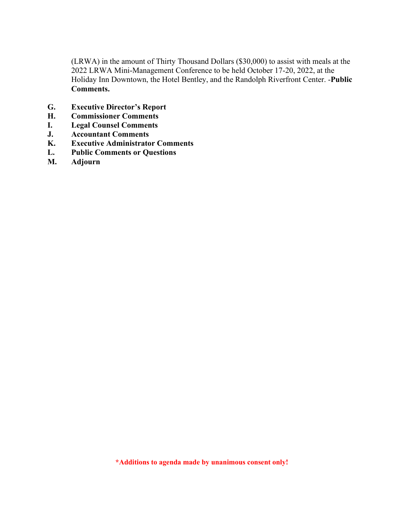(LRWA) in the amount of Thirty Thousand Dollars (\$30,000) to assist with meals at the 2022 LRWA Mini-Management Conference to be held October 17-20, 2022, at the Holiday Inn Downtown, the Hotel Bentley, and the Randolph Riverfront Center. -**Public Comments.**

- **G. Executive Director's Report**
- **H. Commissioner Comments**
- **I. Legal Counsel Comments**
- **J. Accountant Comments**
- **K. Executive Administrator Comments**
- **L. Public Comments or Questions**
- **M. Adjourn**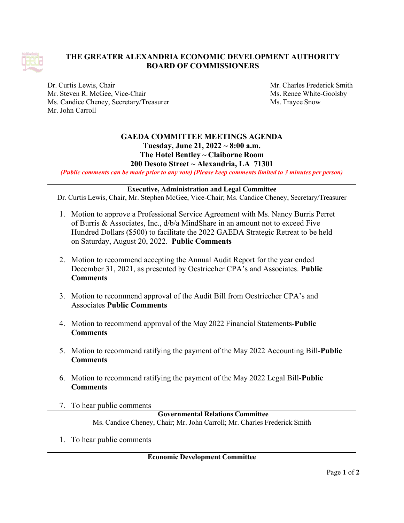

# **THE GREATER ALEXANDRIA ECONOMIC DEVELOPMENT AUTHORITY BOARD OF COMMISSIONERS**

Dr. Curtis Lewis, Chair Mr. Charles Frederick Smith Mr. Steven R. McGee, Vice-Chair Ms. Renee White-Goolsby Ms. Candice Cheney, Secretary/Treasurer Ms. Trayce Snow Mr. John Carroll

### **GAEDA COMMITTEE MEETINGS AGENDA Tuesday, June 21, 2022 ~ 8:00 a.m. The Hotel Bentley ~ Claiborne Room 200 Desoto Street ~ Alexandria, LA 71301**

(Public comments can be made prior to any vote) (Please keep comments limited to 3 minutes per person)

### **Executive, Administration and Legal Committee**

Dr. Curtis Lewis, Chair, Mr. Stephen McGee, Vice-Chair; Ms. Candice Cheney, Secretary/Treasurer

- 1. Motion to approve a Professional Service Agreement with Ms. Nancy Burris Perret of Burris & Associates, Inc., d/b/a MindShare in an amount not to exceed Five Hundred Dollars (\$500) to facilitate the 2022 GAEDA Strategic Retreat to be held on Saturday, August 20, 2022. **Public Comments**
- 2. Motion to recommend accepting the Annual Audit Report for the year ended December 31, 2021, as presented by Oestriecher CPA's and Associates. **Public Comments**
- 3. Motion to recommend approval of the Audit Bill from Oestriecher CPA's and Associates **Public Comments**
- 4. Motion to recommend approval of the May 2022 Financial Statements-**Public Comments**
- 5. Motion to recommend ratifying the payment of the May 2022 Accounting Bill-**Public Comments**
- 6. Motion to recommend ratifying the payment of the May 2022 Legal Bill-**Public Comments**
- 7. To hear public comments

**Governmental Relations Committee** Ms. Candice Cheney, Chair; Mr. John Carroll; Mr. Charles Frederick Smith

1. To hear public comments